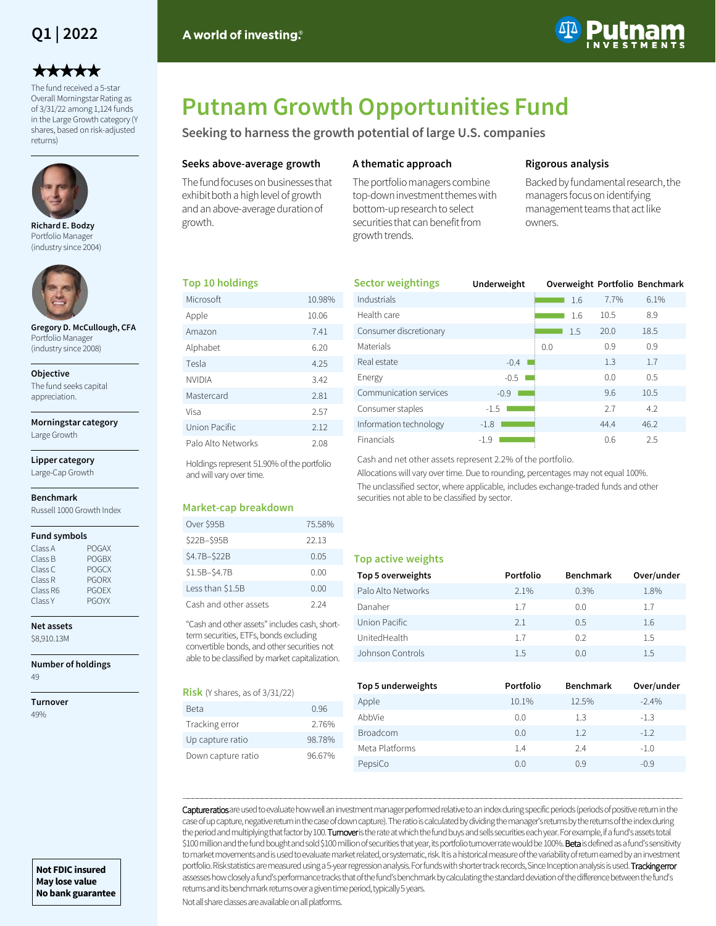## **Q1 | 2022**

# \*\*\*\*\*

The fund received a 5-star Overall Morningstar Rating as of 3/31/22 among 1,124 funds in the Large Growth category (Y shares, based on risk-adjusted returns)



**Richard E. Bodzy**  Portfolio Manager (industry since 2004)



**Gregory D. McCullough, CFA**  Portfolio Manager (industry since 2008)

#### **Objective**

The fund seeks capital appreciation.

## **Morningstar category**

Large Growth

**Lipper category** Large-Cap Growth

#### **Benchmark**

Russell 1000 Growth Index

#### **Fund symbols**

| Class A  | <b>POGAX</b> |
|----------|--------------|
| Class B  | <b>POGBX</b> |
| Class C  | <b>POGCX</b> |
| Class R  | <b>PGORX</b> |
| Class R6 | <b>PGOFX</b> |
| Class Y  | <b>PGOYX</b> |
|          |              |

**Net assets**

\$8,910.13M

**Number of holdings** 49

**Turnover** 49%

**May lose value No bank guarantee**

# **Putnam Growth Opportunities Fund**

**Seeking to harness the growth potential of large U.S. companies**

#### **Seeks above-average growth**

A world of investing.<sup>®</sup>

The fund focuses on businesses that exhibit both a high level of growth and an above-average duration of growth.

#### **A thematic approach**

The portfolio managers combine top-down investment themes with bottom-up research to select securities that can benefit from growth trends.

#### **Rigorous analysis**

Backed by fundamental research, the managers focus on identifying management teams that act like owners.

#### **Top 10 holdings**

| Microsoft          | 10.98% |
|--------------------|--------|
| Apple              | 10.06  |
| Amazon             | 7.41   |
| Alphabet           | 6.20   |
| Tesla              | 4.25   |
| <b>NVIDIA</b>      | 3.42   |
| Mastercard         | 2.81   |
| Visa               | 2.57   |
| Union Pacific      | 2.12   |
| Palo Alto Networks | 2.08   |

Holdings represent 51.90% of the portfolio and will vary over time.

#### **Market-cap breakdown**

| Over \$95B            | 75.58% |
|-----------------------|--------|
| \$22B-\$95B           | 22.13  |
| \$4.7B-\$22B          | 0.05   |
| \$1.5B-\$4.7B         | 0.00   |
| Less than \$1.5B      | 0.00   |
| Cash and other assets | 2 24   |

"Cash and other assets" includes cash, shortterm securities, ETFs, bonds excluding convertible bonds, and other securities not able to be classified by market capitalization.

#### **Risk** (Y shares, as of 3/31/22)

| Beta               | 0.96   |
|--------------------|--------|
| Tracking error     | 276%   |
| Up capture ratio   | 98 78% |
| Down capture ratio | 96.67% |

| <b>Sector weightings</b> | Underweight |     |     |      | Overweight Portfolio Benchmark |
|--------------------------|-------------|-----|-----|------|--------------------------------|
| Industrials              |             |     | 1.6 | 7.7% | 6.1%                           |
| Health care              |             |     | 1.6 | 10.5 | 8.9                            |
| Consumer discretionary   |             |     | 1.5 | 20.0 | 18.5                           |
| Materials                |             | 0.0 |     | 0.9  | 0.9                            |
| Real estate              | $-0.4$      |     |     | 1.3  | 1.7                            |
| Energy                   | $-0.5$      |     |     | 0.0  | 0.5                            |
| Communication services   | $-0.9$      |     |     | 9.6  | 10.5                           |
| Consumer staples         | $-1.5$      |     |     | 2.7  | 4.2                            |
| Information technology   | $-1.8$      |     |     | 44.4 | 46.2                           |
| Financials               | $-1.9$      |     |     | 0.6  | 2.5                            |

Cash and net other assets represent 2.2% of the portfolio.

Allocations will vary over time. Due to rounding, percentages may not equal 100%. The unclassified sector, where applicable, includes exchange-traded funds and other securities not able to be classified by sector.

#### **Top active weights**

| Top 5 overweights  | Portfolio | <b>Benchmark</b> | Over/under |
|--------------------|-----------|------------------|------------|
| Palo Alto Networks | 2.1%      | 0.3%             | 1.8%       |
| Danaher            | 1.7       | 0.0              | 1.7        |
| Union Pacific      | 2.1       | 0.5              | 1.6        |
| UnitedHealth       | 17        | 02               | 1.5        |
| Johnson Controls   | 1.5       | (0.0)            | 1.5        |

| Top 5 underweights | Portfolio | <b>Benchmark</b> | Over/under |
|--------------------|-----------|------------------|------------|
| Apple              | 10.1%     | 12.5%            | $-2.4%$    |
| AbbVie             | 0.0       | 1.3              | $-1.3$     |
| <b>Broadcom</b>    | 0.0       | 1.2              | $-1.2$     |
| Meta Platforms     | 1.4       | 2.4              | $-1.0$     |
| PepsiCo            | 0.0       | 0.9              | $-0.9$     |

Capture ratios are used to evaluate how well an investment manager performed relative to an index during specific periods (periods of positive return in the case of up capture, negative return in the case of down capture). The ratio is calculated by dividing the manager's returns by the returns of the index during the period and multiplying that factor by 100. Turnoveris the rate at which the fund buys and sells securities each year. For example, if a fund's assets total \$100 million and the fund bought and sold \$100 million of securities that year, its portfolio turnover rate would be 100%. Beta is defined as a fund's sensitivity to market movements and is used to evaluate market related, or systematic, risk. It is a historical measure of the variability of return earned by an investment portfolio. Risk statistics are measured using a 5-year regression analysis. For funds with shorter track records, Since Inception analysis is used. Tracking error assesses how closely a fund's performance tracks that of the fund's benchmark by calculating the standard deviation of the difference between the fund's returns and its benchmark returns over a given time period, typically 5 years.

―――――――――――――――――――――――――――――――――――――――――――――――――――――――――――――――――――――――――――――――――――――――――――――――――――――――――――

Not all share classes are available on all platforms.

**Not FDIC insured**